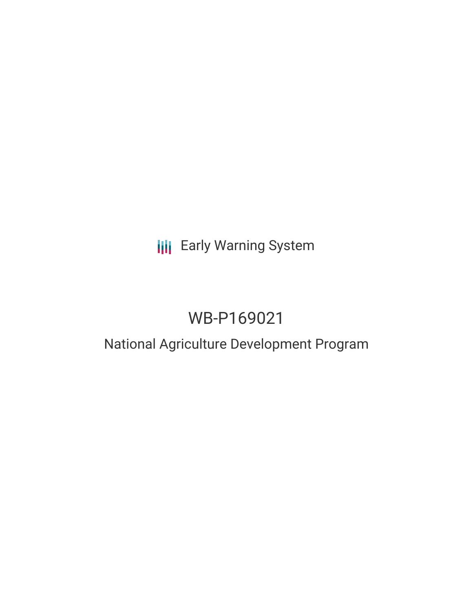## **III** Early Warning System

# WB-P169021

### National Agriculture Development Program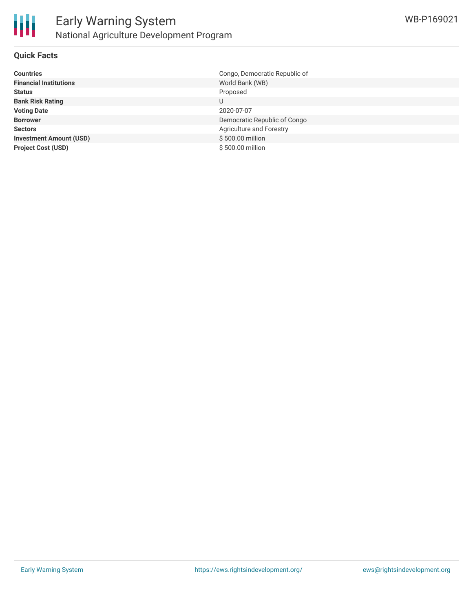

#### **Quick Facts**

| <b>Countries</b>               | Congo, Democratic Republic of |
|--------------------------------|-------------------------------|
| <b>Financial Institutions</b>  | World Bank (WB)               |
| <b>Status</b>                  | Proposed                      |
| <b>Bank Risk Rating</b>        |                               |
| <b>Voting Date</b>             | 2020-07-07                    |
| <b>Borrower</b>                | Democratic Republic of Congo  |
| <b>Sectors</b>                 | Agriculture and Forestry      |
| <b>Investment Amount (USD)</b> | \$500.00 million              |
| <b>Project Cost (USD)</b>      | \$500.00 million              |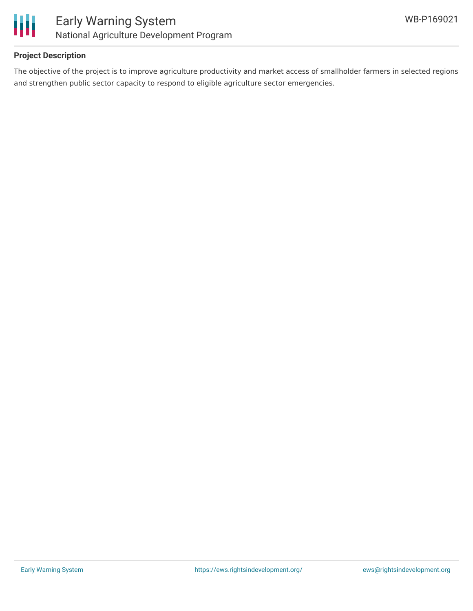

#### **Project Description**

The objective of the project is to improve agriculture productivity and market access of smallholder farmers in selected regions and strengthen public sector capacity to respond to eligible agriculture sector emergencies.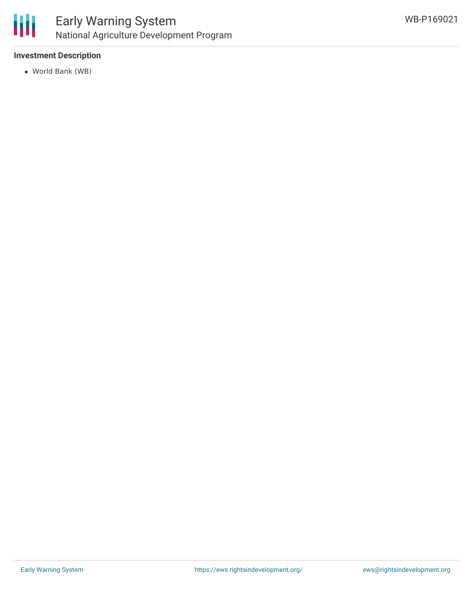

#### **Investment Description**

World Bank (WB)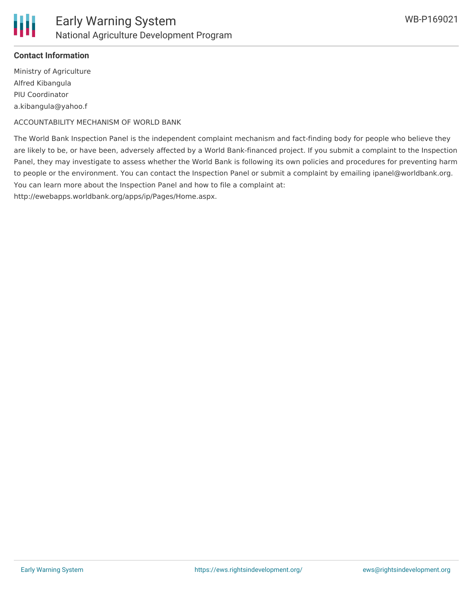

#### **Contact Information**

Ministry of Agriculture Alfred Kibangula PIU Coordinator a.kibangula@yahoo.f

ACCOUNTABILITY MECHANISM OF WORLD BANK

The World Bank Inspection Panel is the independent complaint mechanism and fact-finding body for people who believe they are likely to be, or have been, adversely affected by a World Bank-financed project. If you submit a complaint to the Inspection Panel, they may investigate to assess whether the World Bank is following its own policies and procedures for preventing harm to people or the environment. You can contact the Inspection Panel or submit a complaint by emailing ipanel@worldbank.org. You can learn more about the Inspection Panel and how to file a complaint at:

http://ewebapps.worldbank.org/apps/ip/Pages/Home.aspx.